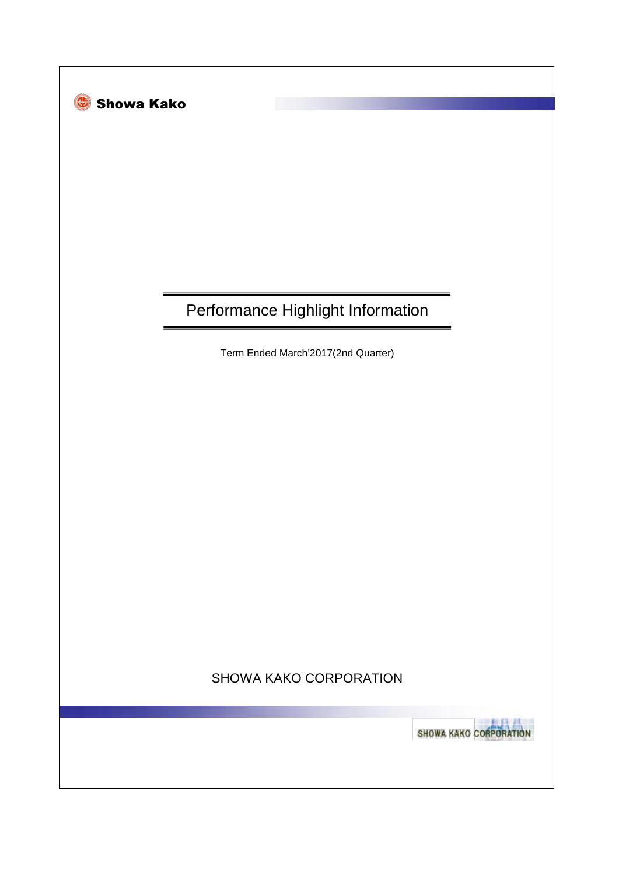| <b>Showa Kako</b> |                                    |
|-------------------|------------------------------------|
|                   |                                    |
|                   |                                    |
|                   | Performance Highlight Information  |
|                   | Term Ended March'2017(2nd Quarter) |
|                   |                                    |
|                   |                                    |
|                   |                                    |
|                   |                                    |
|                   | SHOWA KAKO CORPORATION             |
|                   | <b>SHOWA KAKO CORPORA</b>          |
|                   |                                    |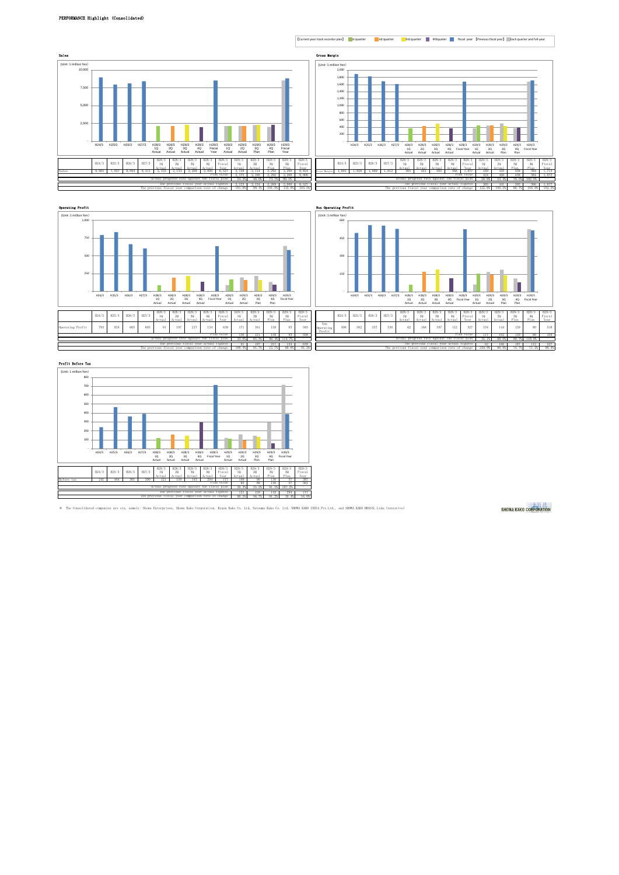







SHOWA KAKO CORPORATION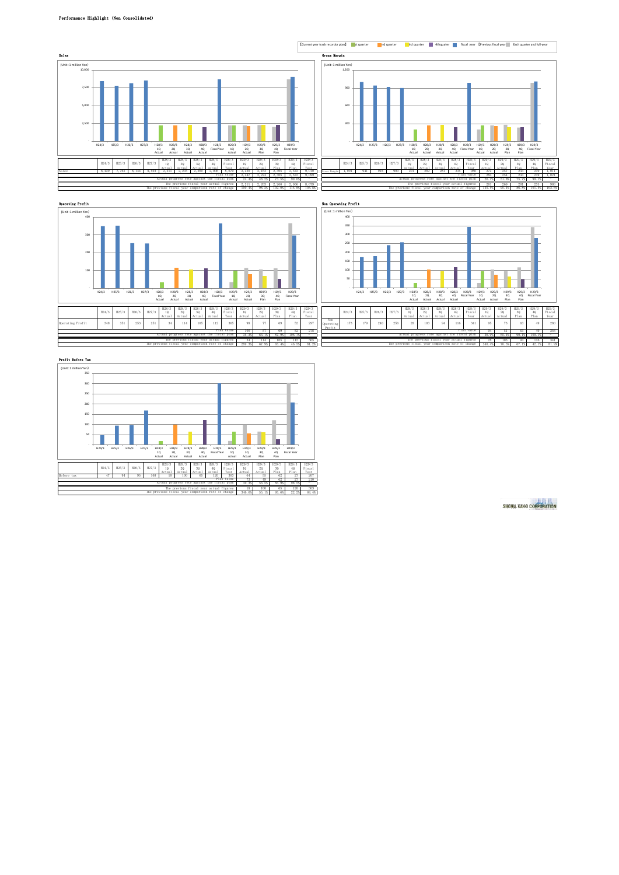





SHOWA KAKO CORPORATION